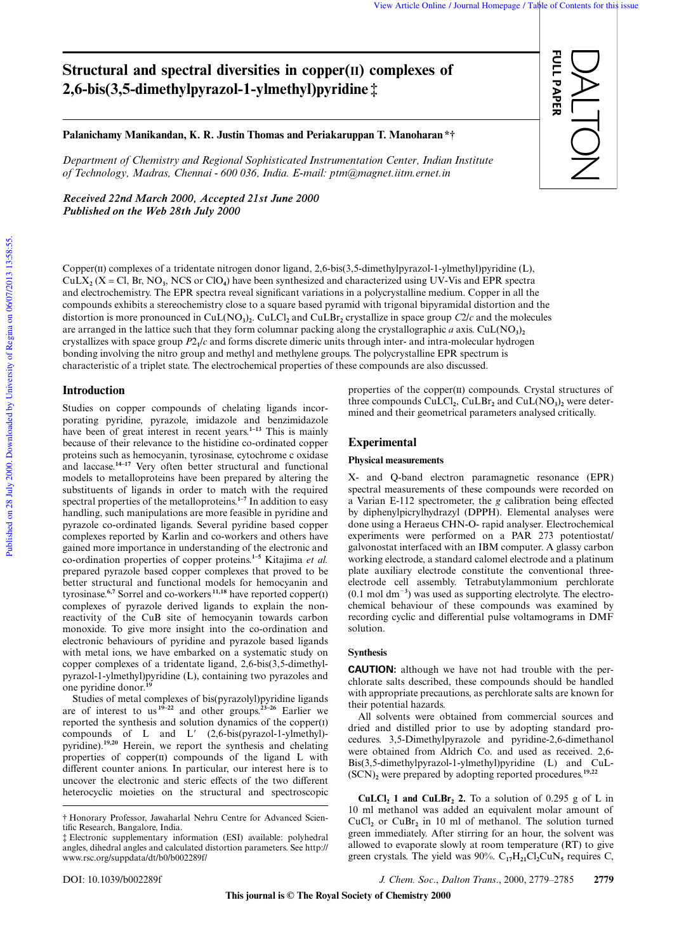FULL PAPER

**FULL PAPER** 

DALTON

# **Structural and spectral diversities in copper(II) complexes of 2,6-bis(3,5-dimethylpyrazol-1-ylmethyl)pyridine ‡**

## **Palanichamy Manikandan, K. R. Justin Thomas and Periakaruppan T. Manoharan \*†**

*Department of Chemistry and Regional Sophisticated Instrumentation Center, Indian Institute of Technology, Madras, Chennai - 600 036, India. E-mail: ptm@magnet.iitm.ernet.in*

*Received 22nd March 2000, Accepted 21st June 2000 Published on the Web 28th July 2000*

Copper(II) complexes of a tridentate nitrogen donor ligand, 2,6-bis(3,5-dimethylpyrazol-1-ylmethyl)pyridine (L),  $CuLX<sub>2</sub>$  (X = Cl, Br, NO<sub>3</sub>, NCS or ClO<sub>4</sub>) have been synthesized and characterized using UV-Vis and EPR spectra and electrochemistry. The EPR spectra reveal significant variations in a polycrystalline medium. Copper in all the compounds exhibits a stereochemistry close to a square based pyramid with trigonal bipyramidal distortion and the distortion is more pronounced in CuL(NO**<sup>3</sup>** )**2** . CuLCl**<sup>2</sup>** and CuLBr**<sup>2</sup>** crystallize in space group *C*2/*c* and the molecules are arranged in the lattice such that they form columnar packing along the crystallographic *a* axis. CuL(NO<sub>3</sub>)<sub>2</sub> crystallizes with space group *P*2**<sup>1</sup>** /*c* and forms discrete dimeric units through inter- and intra-molecular hydrogen bonding involving the nitro group and methyl and methylene groups. The polycrystalline EPR spectrum is characteristic of a triplet state. The electrochemical properties of these compounds are also discussed.

# **Introduction**

Studies on copper compounds of chelating ligands incorporating pyridine, pyrazole, imidazole and benzimidazole have been of great interest in recent years.<sup>1–13</sup> This is mainly because of their relevance to the histidine co-ordinated copper proteins such as hemocyanin, tyrosinase, cytochrome c oxidase and laccase.**14–17** Very often better structural and functional models to metalloproteins have been prepared by altering the substituents of ligands in order to match with the required spectral properties of the metalloproteins.**1–7** In addition to easy handling, such manipulations are more feasible in pyridine and pyrazole co-ordinated ligands. Several pyridine based copper complexes reported by Karlin and co-workers and others have gained more importance in understanding of the electronic and co-ordination properties of copper proteins.**1–5** Kitajima *et al.* prepared pyrazole based copper complexes that proved to be better structural and functional models for hemocyanin and tyrosinase.**6,7** Sorrel and co-workers **11,18** have reported copper() complexes of pyrazole derived ligands to explain the nonreactivity of the CuB site of hemocyanin towards carbon monoxide. To give more insight into the co-ordination and electronic behaviours of pyridine and pyrazole based ligands with metal ions, we have embarked on a systematic study on copper complexes of a tridentate ligand, 2,6-bis(3,5-dimethylpyrazol-1-ylmethyl)pyridine (L), containing two pyrazoles and one pyridine donor.**<sup>19</sup>**

Studies of metal complexes of bis(pyrazolyl)pyridine ligands are of interest to us **19–22** and other groups.**23–26** Earlier we reported the synthesis and solution dynamics of the copper $(i)$ compounds of L and L'  $(2,6-bis(pyrazol-1-ylmethyl)$ pyridine).**19,20** Herein, we report the synthesis and chelating properties of copper $(n)$  compounds of the ligand L with different counter anions. In particular, our interest here is to uncover the electronic and steric effects of the two different heterocyclic moieties on the structural and spectroscopic properties of the copper $(II)$  compounds. Crystal structures of three compounds CuLCl**<sup>2</sup>** , CuLBr**<sup>2</sup>** and CuL(NO**<sup>3</sup>** )**2** were determined and their geometrical parameters analysed critically.

## **Experimental**

#### **Physical measurements**

X- and Q-band electron paramagnetic resonance (EPR) spectral measurements of these compounds were recorded on a Varian E-112 spectrometer, the *g* calibration being effected by diphenylpicrylhydrazyl (DPPH). Elemental analyses were done using a Heraeus CHN-O- rapid analyser. Electrochemical experiments were performed on a PAR 273 potentiostat/ galvonostat interfaced with an IBM computer. A glassy carbon working electrode, a standard calomel electrode and a platinum plate auxiliary electrode constitute the conventional threeelectrode cell assembly. Tetrabutylammonium perchlorate (0.1 mol dm-**3** ) was used as supporting electrolyte. The electrochemical behaviour of these compounds was examined by recording cyclic and differential pulse voltamograms in DMF solution.

## **Synthesis**

**CAUTION:** although we have not had trouble with the perchlorate salts described, these compounds should be handled with appropriate precautions, as perchlorate salts are known for their potential hazards.

All solvents were obtained from commercial sources and dried and distilled prior to use by adopting standard procedures. 3,5-Dimethylpyrazole and pyridine-2,6-dimethanol were obtained from Aldrich Co. and used as received. 2,6- Bis(3,5-dimethylpyrazol-1-ylmethyl)pyridine (L) and CuL- (SCN)**<sup>2</sup>** were prepared by adopting reported procedures.**19,22**

**CuLCl<sub>2</sub>** 1 and CuLBr<sub>2</sub> 2. To a solution of 0.295 g of L in 10 ml methanol was added an equivalent molar amount of  $CuCl<sub>2</sub>$  or  $CuBr<sub>2</sub>$  in 10 ml of methanol. The solution turned green immediately. After stirring for an hour, the solvent was allowed to evaporate slowly at room temperature (RT) to give green crystals. The yield was  $90\%$ . C<sub>17</sub>H<sub>21</sub>Cl<sub>2</sub>CuN<sub>5</sub> requires C,

DOI: 10.1039/b002289f *J. Chem. Soc*., *Dalton Trans*., 2000, 2779–2785 **2779**

<sup>†</sup> Honorary Professor, Jawaharlal Nehru Centre for Advanced Scientific Research, Bangalore, India.

<sup>‡</sup> Electronic supplementary information (ESI) available: polyhedral angles, dihedral angles and calculated distortion parameters. See http:// www.rsc.org/suppdata/dt/b0/b002289f/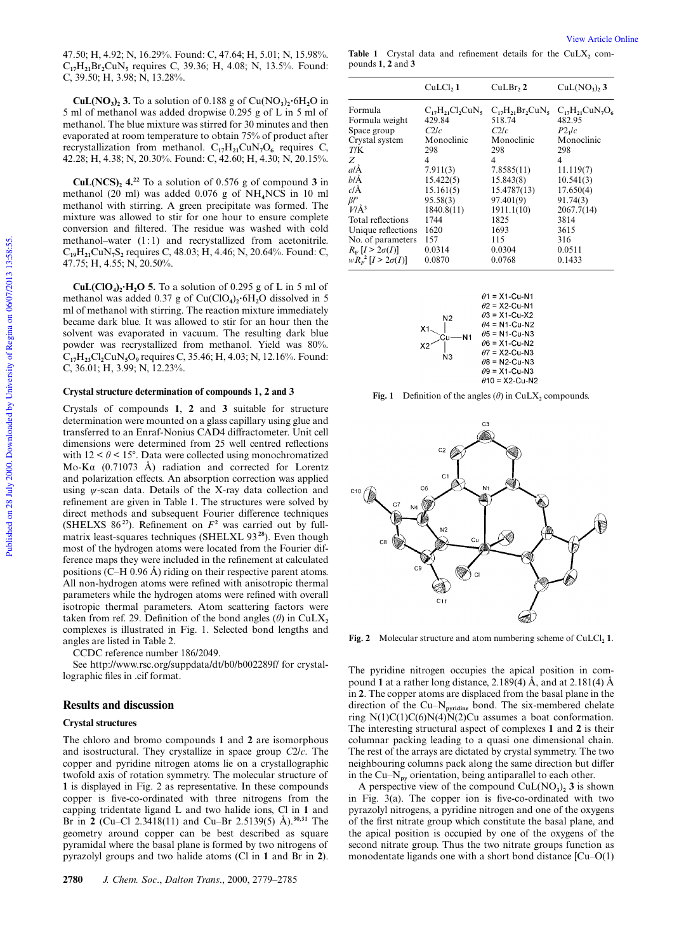47.50; H, 4.92; N, 16.29%. Found: C, 47.64; H, 5.01; N, 15.98%. C**17**H**21**Br**2**CuN**<sup>5</sup>** requires C, 39.36; H, 4.08; N, 13.5%. Found: C, 39.50; H, 3.98; N, 13.28%.

 $\text{CuL}(\text{NO}_3)$ <sub>2</sub> 3. To a solution of 0.188 g of  $\text{Cu}(\text{NO}_3)$ <sub>2</sub>·6H<sub>2</sub>O in 5 ml of methanol was added dropwise 0.295 g of L in 5 ml of methanol. The blue mixture was stirred for 30 minutes and then evaporated at room temperature to obtain 75% of product after recrystallization from methanol.  $C_{17}H_{21}CuN_7O_6$  requires C, 42.28; H, 4.38; N, 20.30%. Found: C, 42.60; H, 4.30; N, 20.15%.

**CuL(NCS)<sup>2</sup> 4.<sup>22</sup>** To a solution of 0.576 g of compound **3** in methanol (20 ml) was added 0.076 g of NH**4**NCS in 10 ml methanol with stirring. A green precipitate was formed. The mixture was allowed to stir for one hour to ensure complete conversion and filtered. The residue was washed with cold methanol–water (1:1) and recrystallized from acetonitrile. C**19**H**21**CuN**7**S**<sup>2</sup>** requires C, 48.03; H, 4.46; N, 20.64%. Found: C, 47.75; H, 4.55; N, 20.50%.

 $\text{CuL}(\text{ClO}_4)$ <sup>2</sup>**·H<sub>2</sub>O 5.** To a solution of 0.295 g of L in 5 ml of methanol was added 0.37 g of Cu(ClO**<sup>4</sup>** )**2** 6H**2**O dissolved in 5 ml of methanol with stirring. The reaction mixture immediately became dark blue. It was allowed to stir for an hour then the solvent was evaporated in vacuum. The resulting dark blue powder was recrystallized from methanol. Yield was 80%. C**17**H**23**Cl**2**CuN**5**O**<sup>9</sup>** requires C, 35.46; H, 4.03; N, 12.16%. Found: C, 36.01; H, 3.99; N, 12.23%.

#### **Crystal structure determination of compounds 1, 2 and 3**

Crystals of compounds **1**, **2** and **3** suitable for structure determination were mounted on a glass capillary using glue and transferred to an Enraf-Nonius CAD4 diffractometer. Unit cell dimensions were determined from 25 well centred reflections with  $12 < \theta < 15^{\circ}$ . Data were collected using monochromatized Mo-Kα (0.71073 Å) radiation and corrected for Lorentz and polarization effects. An absorption correction was applied using  $\psi$ -scan data. Details of the X-ray data collection and refinement are given in Table 1. The structures were solved by direct methods and subsequent Fourier difference techniques (SHELXS  $86^{27}$ ). Refinement on  $F^2$  was carried out by fullmatrix least-squares techniques (SHELXL 93 **<sup>28</sup>**). Even though most of the hydrogen atoms were located from the Fourier difference maps they were included in the refinement at calculated positions (C–H 0.96 Å) riding on their respective parent atoms. All non-hydrogen atoms were refined with anisotropic thermal parameters while the hydrogen atoms were refined with overall isotropic thermal parameters. Atom scattering factors were taken from ref. 29. Definition of the bond angles ( $\theta$ ) in CuLX<sub>2</sub> complexes is illustrated in Fig. 1. Selected bond lengths and angles are listed in Table 2.

CCDC reference number 186/2049.

See http://www.rsc.org/suppdata/dt/b0/b002289f/ for crystallographic files in .cif format.

## **Results and discussion**

## **Crystal structures**

The chloro and bromo compounds **1** and **2** are isomorphous and isostructural. They crystallize in space group *C*2/*c*. The copper and pyridine nitrogen atoms lie on a crystallographic twofold axis of rotation symmetry. The molecular structure of **1** is displayed in Fig. 2 as representative. In these compounds copper is five-co-ordinated with three nitrogens from the capping tridentate ligand L and two halide ions, Cl in **1** and Br in **2** (Cu–Cl 2.3418(11) and Cu–Br 2.5139(5) Å).**30,31** The geometry around copper can be best described as square pyramidal where the basal plane is formed by two nitrogens of pyrazolyl groups and two halide atoms (Cl in **1** and Br in **2**).

View Article Online

Table 1 Crystal data and refinement details for the  $CuLX_2$  compounds **1**, **2** and **3**

|                                                       | CuLCl, 1                | CuLBr, 2                | $CuL(NO3),$ 3          |
|-------------------------------------------------------|-------------------------|-------------------------|------------------------|
| Formula                                               | $C_{17}H_{21}Cl_2CuN_5$ | $C_{17}H_{21}Br_2CuN_5$ | $C_{17}H_{21}CuN_7O_6$ |
| Formula weight                                        | 429.84                  | 518.74                  | 482.95                 |
| Space group                                           | C2/c                    | C2/c                    | P2 <sub>1</sub> /c     |
| Crystal system                                        | Monoclinic              | Monoclinic              | Monoclinic             |
| T/K                                                   | 298                     | 298                     | 298                    |
| Z                                                     | 4                       | 4                       | $\overline{4}$         |
| alÅ                                                   | 7.911(3)                | 7.8585(11)              | 11.119(7)              |
| blÅ                                                   | 15.422(5)               | 15.843(8)               | 10.541(3)              |
| c/Å                                                   | 15.161(5)               | 15.4787(13)             | 17.650(4)              |
| $\beta$ /°                                            | 95.58(3)                | 97.401(9)               | 91.74(3)               |
| $V/\AA$ <sup>3</sup>                                  | 1840.8(11)              | 1911.1(10)              | 2067.7(14)             |
| Total reflections                                     | 1744                    | 1825                    | 3814                   |
| Unique reflections                                    | 1620                    | 1693                    | 3615                   |
|                                                       | 157                     | 115                     | 316                    |
|                                                       | 0.0314                  | 0.0304                  | 0.0511                 |
| $wR_r^2$ [ $I > 2\sigma(I)$ ]                         | 0.0870                  | 0.0768                  | 0.1433                 |
| No. of parameters<br>$R_{\rm F}$ [ $I > 2\sigma(I)$ ] |                         |                         |                        |



**Fig. 1** Definition of the angles  $(\theta)$  in CuLX<sub>2</sub> compounds.



**Fig. 2** Molecular structure and atom numbering scheme of CuLCl<sub>2</sub> **1**.

The pyridine nitrogen occupies the apical position in compound **1** at a rather long distance, 2.189(4) Å, and at 2.181(4) Å in **2**. The copper atoms are displaced from the basal plane in the direction of the Cu–N**pyridine** bond. The six-membered chelate ring  $N(1)C(1)C(6)N(4)N(2)Cu$  assumes a boat conformation. The interesting structural aspect of complexes **1** and **2** is their columnar packing leading to a quasi one dimensional chain. The rest of the arrays are dictated by crystal symmetry. The two neighbouring columns pack along the same direction but differ in the Cu– $N_{\text{pv}}$  orientation, being antiparallel to each other.

A perspective view of the compound  $\text{CuL}(\text{NO}_3)_2$  3 is shown in Fig. 3(a). The copper ion is five-co-ordinated with two pyrazolyl nitrogens, a pyridine nitrogen and one of the oxygens of the first nitrate group which constitute the basal plane, and the apical position is occupied by one of the oxygens of the second nitrate group. Thus the two nitrate groups function as monodentate ligands one with a short bond distance [Cu–O(1)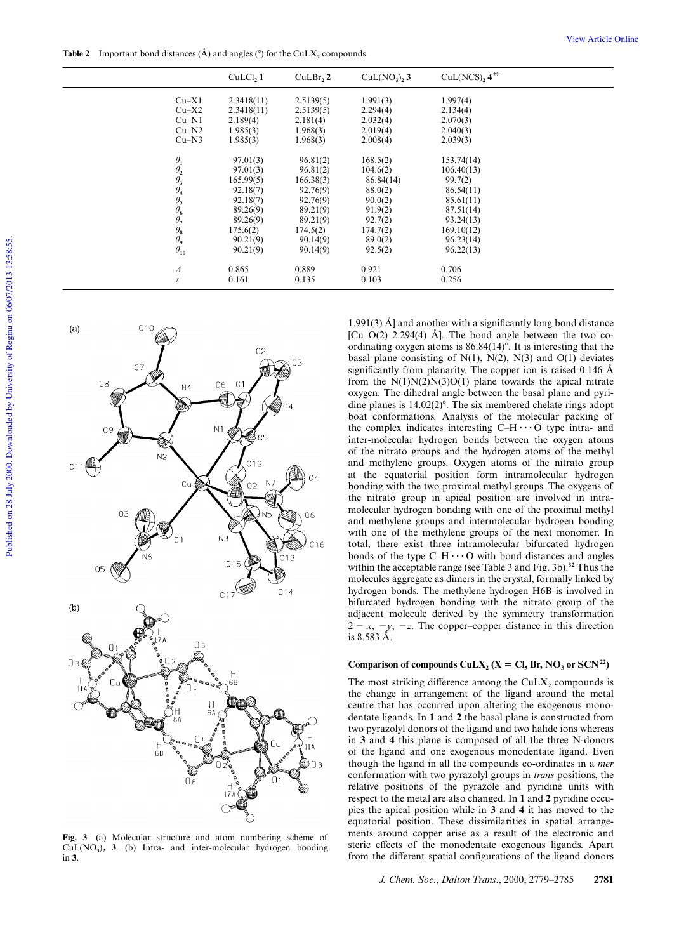**Table 2** Important bond distances  $(\hat{A})$  and angles  $(\hat{C})$  for the CuLX<sub>2</sub> compounds

|                                                                 | CuLCl, 1   | CuLBr, 2  | $CuL(NO3),$ 3 | $CuL(NCS)$ , $4^{22}$ |
|-----------------------------------------------------------------|------------|-----------|---------------|-----------------------|
| $Cu-X1$                                                         | 2.3418(11) | 2.5139(5) | 1.991(3)      | 1.997(4)              |
| $Cu-X2$                                                         | 2.3418(11) | 2.5139(5) | 2.294(4)      | 2.134(4)              |
| $Cu-N1$                                                         | 2.189(4)   | 2.181(4)  | 2.032(4)      | 2.070(3)              |
| $Cu-N2$                                                         | 1.985(3)   | 1.968(3)  | 2.019(4)      | 2.040(3)              |
| $Cu-N3$                                                         | 1.985(3)   | 1.968(3)  | 2.008(4)      | 2.039(3)              |
| $\theta_1$                                                      | 97.01(3)   | 96.81(2)  | 168.5(2)      | 153.74(14)            |
|                                                                 | 97.01(3)   | 96.81(2)  | 104.6(2)      | 106.40(13)            |
|                                                                 | 165.99(5)  | 166.38(3) | 86.84(14)     | 99.7(2)               |
| $\begin{array}{c} \theta_2 \\ \theta_3 \\ \theta_4 \end{array}$ | 92.18(7)   | 92.76(9)  | 88.0(2)       | 86.54(11)             |
|                                                                 | 92.18(7)   | 92.76(9)  | 90.0(2)       | 85.61(11)             |
| $\frac{\theta_5}{\theta_6}$                                     | 89.26(9)   | 89.21(9)  | 91.9(2)       | 87.51(14)             |
| $\theta_7$                                                      | 89.26(9)   | 89.21(9)  | 92.7(2)       | 93.24(13)             |
| $\theta_8$                                                      | 175.6(2)   | 174.5(2)  | 174.7(2)      | 169.10(12)            |
| $\theta_9$                                                      | 90.21(9)   | 90.14(9)  | 89.0(2)       | 96.23(14)             |
| $\theta_{10}$                                                   | 90.21(9)   | 90.14(9)  | 92.5(2)       | 96.22(13)             |
| Δ                                                               | 0.865      | 0.889     | 0.921         | 0.706                 |
| $\tau$                                                          | 0.161      | 0.135     | 0.103         | 0.256                 |



**Fig. 3** (a) Molecular structure and atom numbering scheme of CuL(NO**<sup>3</sup>** )**<sup>2</sup> 3**. (b) Intra- and inter-molecular hydrogen bonding in **3**.

1.991(3) Å] and another with a significantly long bond distance  $[Cu-O(2) 2.294(4)$  Å]. The bond angle between the two coordinating oxygen atoms is  $86.84(14)^\circ$ . It is interesting that the basal plane consisting of  $N(1)$ ,  $N(2)$ ,  $N(3)$  and  $O(1)$  deviates significantly from planarity. The copper ion is raised 0.146 Å from the  $N(1)N(2)N(3)O(1)$  plane towards the apical nitrate oxygen. The dihedral angle between the basal plane and pyridine planes is  $14.02(2)^\circ$ . The six membered chelate rings adopt boat conformations. Analysis of the molecular packing of the complex indicates interesting  $C-H \cdots O$  type intra- and inter-molecular hydrogen bonds between the oxygen atoms of the nitrato groups and the hydrogen atoms of the methyl and methylene groups. Oxygen atoms of the nitrato group at the equatorial position form intramolecular hydrogen bonding with the two proximal methyl groups. The oxygens of the nitrato group in apical position are involved in intramolecular hydrogen bonding with one of the proximal methyl and methylene groups and intermolecular hydrogen bonding with one of the methylene groups of the next monomer. In total, there exist three intramolecular bifurcated hydrogen bonds of the type  $C-H \cdots O$  with bond distances and angles within the acceptable range (see Table 3 and Fig. 3b).**<sup>32</sup>** Thus the molecules aggregate as dimers in the crystal, formally linked by hydrogen bonds. The methylene hydrogen H6B is involved in bifurcated hydrogen bonding with the nitrato group of the adjacent molecule derived by the symmetry transformation  $2 - x$ ,  $-y$ ,  $-z$ . The copper–copper distance in this direction is 8.583 Å.

# Comparison of compounds  $\text{CuLX}_2$  (X = Cl, Br, NO<sub>3</sub> or SCN<sup>22</sup>)

The most striking difference among the  $CuLX_2$  compounds is the change in arrangement of the ligand around the metal centre that has occurred upon altering the exogenous monodentate ligands. In **1** and **2** the basal plane is constructed from two pyrazolyl donors of the ligand and two halide ions whereas in **3** and **4** this plane is composed of all the three N-donors of the ligand and one exogenous monodentate ligand. Even though the ligand in all the compounds co-ordinates in a *mer* conformation with two pyrazolyl groups in *trans* positions, the relative positions of the pyrazole and pyridine units with respect to the metal are also changed. In **1** and **2** pyridine occupies the apical position while in **3** and **4** it has moved to the equatorial position. These dissimilarities in spatial arrangements around copper arise as a result of the electronic and steric effects of the monodentate exogenous ligands. Apart from the different spatial configurations of the ligand donors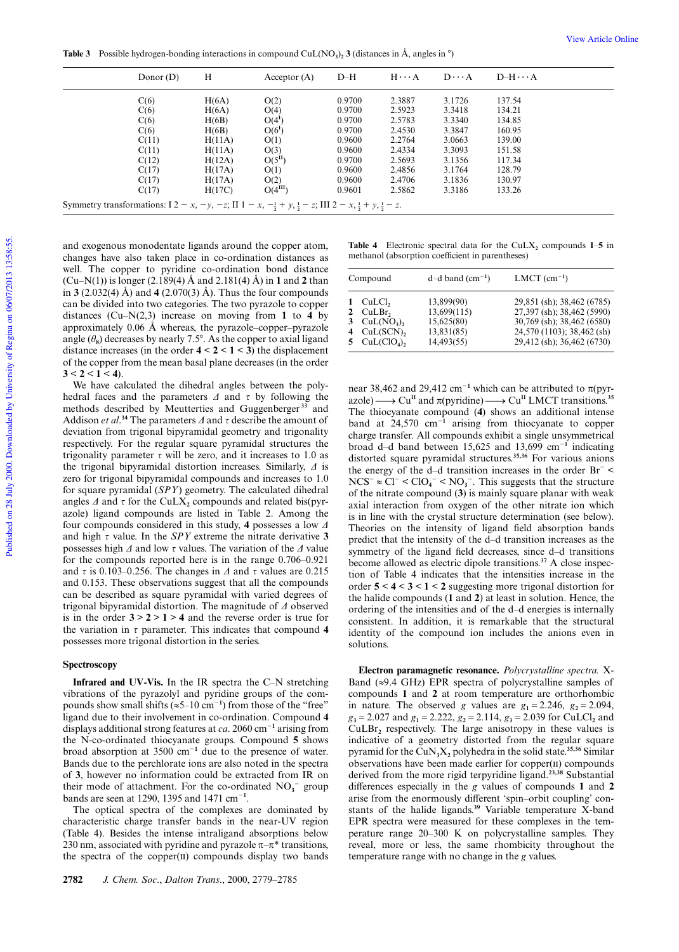**Table 3** Possible hydrogen-bonding interactions in compound CuL(NO<sub>3</sub>)<sub>2</sub> 3 (distances in Å, angles in  $\degree$ )

|                                                                                                                                                              | Donor $(D)$ | Н      | Acceptor $(A)$       | $D-H$  | $H \cdots A$ | $D \cdots A$ | $D-H \cdots A$ |  |
|--------------------------------------------------------------------------------------------------------------------------------------------------------------|-------------|--------|----------------------|--------|--------------|--------------|----------------|--|
|                                                                                                                                                              | C(6)        | H(6A)  | O(2)                 | 0.9700 | 2.3887       | 3.1726       | 137.54         |  |
|                                                                                                                                                              | C(6)        | H(6A)  | O(4)                 | 0.9700 | 2.5923       | 3.3418       | 134.21         |  |
|                                                                                                                                                              | C(6)        | H(6B)  | $O(4^I)$             | 0.9700 | 2.5783       | 3.3340       | 134.85         |  |
|                                                                                                                                                              | C(6)        | H(6B)  | $O(6^I)$             | 0.9700 | 2.4530       | 3.3847       | 160.95         |  |
|                                                                                                                                                              | C(11)       | H(11A) | O(1)                 | 0.9600 | 2.2764       | 3.0663       | 139.00         |  |
|                                                                                                                                                              | C(11)       | H(11A) | O(3)                 | 0.9600 | 2.4334       | 3.3093       | 151.58         |  |
|                                                                                                                                                              | C(12)       | H(12A) | $O(5^{\text{II}})$   | 0.9700 | 2.5693       | 3.1356       | 117.34         |  |
|                                                                                                                                                              | C(17)       | H(17A) | O(1)                 | 0.9600 | 2.4856       | 3.1764       | 128.79         |  |
|                                                                                                                                                              | C(17)       | H(17A) | O(2)                 | 0.9600 | 2.4706       | 3.1836       | 130.97         |  |
|                                                                                                                                                              | C(17)       | H(17C) | O(4 <sup>III</sup> ) | 0.9601 | 2.5862       | 3.3186       | 133.26         |  |
| Symmetry transformations: $I2 - x$ , $-y$ , $-z$ ; $II1 - x$ , $-\frac{1}{2} + y$ , $\frac{1}{2} - z$ ; $III2 - x$ , $\frac{1}{2} + y$ , $\frac{1}{2} - z$ . |             |        |                      |        |              |              |                |  |

and exogenous monodentate ligands around the copper atom, changes have also taken place in co-ordination distances as well. The copper to pyridine co-ordination bond distance (Cu–N(1)) is longer (2.189(4) Å and 2.181(4) Å) in **1** and **2** than in **3** (2.032(4) Å) and **4** (2.070(3) Å). Thus the four compounds can be divided into two categories. The two pyrazole to copper distances (Cu–N(2,3) increase on moving from **1** to **4** by approximately 0.06 Å whereas, the pyrazole–copper–pyrazole angle  $(\theta_8)$  decreases by nearly 7.5°. As the copper to axial ligand distance increases (in the order  $4 < 2 < 1 < 3$ ) the displacement of the copper from the mean basal plane decreases (in the order  $3 < 2 < 1 < 4$ ).

We have calculated the dihedral angles between the polyhedral faces and the parameters  $\Delta$  and  $\tau$  by following the methods described by Meutterties and Guggenberger **<sup>33</sup>** and Addison *et al*.<sup>34</sup> The parameters  $\Delta$  and  $\tau$  describe the amount of deviation from trigonal bipyramidal geometry and trigonality respectively. For the regular square pyramidal structures the trigonality parameter  $\tau$  will be zero, and it increases to 1.0 as the trigonal bipyramidal distortion increases. Similarly, ∆ is zero for trigonal bipyramidal compounds and increases to 1.0 for square pyramidal (*SPY*) geometry. The calculated dihedral angles  $\varDelta$  and  $\tau$  for the CuLX<sub>2</sub> compounds and related bis(pyrazole) ligand compounds are listed in Table 2. Among the four compounds considered in this study, **4** possesses a low ∆ and high  $\tau$  value. In the *SPY* extreme the nitrate derivative 3 possesses high  $\Delta$  and low  $\tau$  values. The variation of the  $\Delta$  value for the compounds reported here is in the range 0.706–0.921 and  $\tau$  is 0.103–0.256. The changes in  $\Delta$  and  $\tau$  values are 0.215 and 0.153. These observations suggest that all the compounds can be described as square pyramidal with varied degrees of trigonal bipyramidal distortion. The magnitude of ∆ observed is in the order  $3 > 2 > 1 > 4$  and the reverse order is true for the variation in  $\tau$  parameter. This indicates that compound **4** possesses more trigonal distortion in the series.

#### **Spectroscopy**

**Infrared and UV-Vis.** In the IR spectra the C–N stretching vibrations of the pyrazolyl and pyridine groups of the compounds show small shifts ( $\approx$ 5–10 cm<sup>-1</sup>) from those of the "free" ligand due to their involvement in co-ordination. Compound **4** displays additional strong features at  $ca$ . 2060 cm<sup>-1</sup> arising from the N-co-ordinated thiocyanate groups. Compound **5** shows broad absorption at  $3500 \text{ cm}^{-1}$  due to the presence of water. Bands due to the perchlorate ions are also noted in the spectra of **3**, however no information could be extracted from IR on their mode of attachment. For the co-ordinated  $NO<sub>3</sub>$ <sup>-</sup> group bands are seen at 1290, 1395 and 1471 cm<sup>-1</sup>.

The optical spectra of the complexes are dominated by characteristic charge transfer bands in the near-UV region (Table 4). Besides the intense intraligand absorptions below 230 nm, associated with pyridine and pyrazole  $\pi-\pi^*$  transitions, the spectra of the copper $(II)$  compounds display two bands

**Table 4** Electronic spectral data for the CuLX<sub>2</sub> compounds  $1-5$  in methanol (absorption coefficient in parentheses)

| Compound |                                                                                                                                             | d-d band $(cm-1)$                                                   | $LMCT$ (cm <sup>-1</sup> )                                                                                                                         |  |  |
|----------|---------------------------------------------------------------------------------------------------------------------------------------------|---------------------------------------------------------------------|----------------------------------------------------------------------------------------------------------------------------------------------------|--|--|
| 1        | CuLCl <sub>2</sub><br>2 $\text{CuLBr}_2$<br>3 $\text{CuL}(\text{NO}_3)$ ,<br>4 $\text{CuL}(\text{SCN})_2$<br>5 $\text{CuL}(\text{ClO}_4)$ , | 13,899(90)<br>13,699(115)<br>15,625(80)<br>13,831(85)<br>14,493(55) | 29,851 (sh); 38,462 (6785)<br>27,397 (sh); 38,462 (5990)<br>30,769 (sh); 38,462 (6580)<br>24,570 (1103); 38,462 (sh)<br>29,412 (sh); 36,462 (6730) |  |  |

near 38,462 and 29,412 cm<sup>-1</sup> which can be attributed to  $π$ (pyrazole)  $\longrightarrow$  Cu<sup>II</sup> and  $\pi$ (pyridine)  $\longrightarrow$  Cu<sup>II</sup> LMCT transitions.<sup>35</sup> The thiocyanate compound (**4**) shows an additional intense band at  $24,570 \text{ cm}^{-1}$  arising from thiocyanate to copper charge transfer. All compounds exhibit a single unsymmetrical broad d-d band between 15,625 and 13,699 cm<sup>-1</sup> indicating distorted square pyramidal structures.**35,36** For various anions the energy of the d–d transition increases in the order Br- <  $NCS^{-} \approx CI^{-} < CIO_4^{-} < NO_3^{-}$ . This suggests that the structure of the nitrate compound (**3**) is mainly square planar with weak axial interaction from oxygen of the other nitrate ion which is in line with the crystal structure determination (see below). Theories on the intensity of ligand field absorption bands predict that the intensity of the d–d transition increases as the symmetry of the ligand field decreases, since d–d transitions become allowed as electric dipole transitions.**37** A close inspection of Table 4 indicates that the intensities increase in the order **5** < **4** < **3** < **1** < **2** suggesting more trigonal distortion for the halide compounds (**1** and **2**) at least in solution. Hence, the ordering of the intensities and of the d–d energies is internally consistent. In addition, it is remarkable that the structural identity of the compound ion includes the anions even in solutions.

**Electron paramagnetic resonance.** *Polycrystalline spectra.* X-Band ( $\approx$ 9.4 GHz) EPR spectra of polycrystalline samples of compounds **1** and **2** at room temperature are orthorhombic in nature. The observed *g* values are  $g_1 = 2.246$ ,  $g_2 = 2.094$ ,  $g_3 = 2.027$  and  $g_1 = 2.222$ ,  $g_2 = 2.114$ ,  $g_3 = 2.039$  for CuLCl<sub>2</sub> and CuLBr**<sup>2</sup>** respectively. The large anisotropy in these values is indicative of a geometry distorted from the regular square pyramid for the  $CuN<sub>3</sub>X<sub>2</sub>$  polyhedra in the solid state.<sup>35,36</sup> Similar observations have been made earlier for copper(II) compounds derived from the more rigid terpyridine ligand.**23,38** Substantial differences especially in the *g* values of compounds **1** and **2** arise from the enormously different 'spin–orbit coupling' constants of the halide ligands.**<sup>39</sup>** Variable temperature X-band EPR spectra were measured for these complexes in the temperature range 20–300 K on polycrystalline samples. They reveal, more or less, the same rhombicity throughout the temperature range with no change in the *g* values.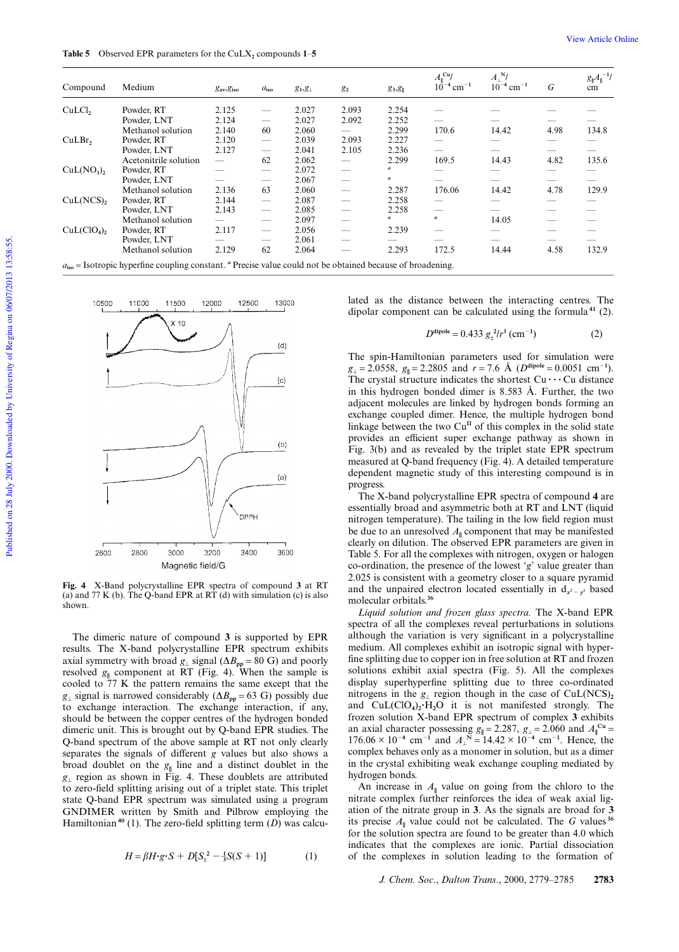| Compound                                                                                                            | Medium                | $g_{\text{av}}$ , $g_{\text{iso}}$ | $a_{\rm iso}$                   | $g_1, g_1$ | g <sub>2</sub>                  | $g_3, g_{\parallel}$ | $A_{\parallel}^{\text{Cu}}/$<br>$10^{-4}$ cm <sup>-1</sup> | $A_{\perp}^{\mathbf{N}}$ /<br>$10^{-4}$ cm <sup>-1</sup> | G    | $g_{\parallel}A_{\parallel}^{-1}$ /<br>cm |
|---------------------------------------------------------------------------------------------------------------------|-----------------------|------------------------------------|---------------------------------|------------|---------------------------------|----------------------|------------------------------------------------------------|----------------------------------------------------------|------|-------------------------------------------|
| $CuLCl$ ,                                                                                                           | Powder, RT            | 2.125                              |                                 | 2.027      | 2.093                           | 2.254                |                                                            |                                                          |      |                                           |
|                                                                                                                     | Powder, LNT           | 2.124                              |                                 | 2.027      | 2.092                           | 2.252                |                                                            |                                                          |      |                                           |
|                                                                                                                     | Methanol solution     | 2.140                              | 60                              | 2.060      |                                 | 2.299                | 170.6                                                      | 14.42                                                    | 4.98 | 134.8                                     |
| CuLBr,                                                                                                              | Powder, RT            | 2.120                              | $\overbrace{\phantom{12333}}$   | 2.039      | 2.093                           | 2.227                |                                                            |                                                          | --   |                                           |
|                                                                                                                     | Powder, LNT           | 2.127                              |                                 | 2.041      | 2.105                           | 2.236                | -                                                          |                                                          |      |                                           |
|                                                                                                                     | Acetonitrile solution |                                    | 62                              | 2.062      |                                 | 2.299                | 169.5                                                      | 14.43                                                    | 4.82 | 135.6                                     |
| $CuL(NO3)$ ,                                                                                                        | Powder, RT            |                                    | $\overbrace{\qquad \qquad }^{}$ | 2.072      |                                 | a                    |                                                            |                                                          |      |                                           |
|                                                                                                                     | Powder, LNT           |                                    |                                 | 2.067      | $\overbrace{\qquad \qquad }^{}$ | a                    | -                                                          |                                                          |      |                                           |
|                                                                                                                     | Methanol solution     | 2.136                              | 63                              | 2.060      |                                 | 2.287                | 176.06                                                     | 14.42                                                    | 4.78 | 129.9                                     |
| CuL(NCS),                                                                                                           | Powder, RT            | 2.144                              | $\overbrace{\qquad \qquad }^{}$ | 2.087      |                                 | 2.258                |                                                            |                                                          |      |                                           |
|                                                                                                                     | Powder, LNT           | 2.143                              | $\overbrace{\qquad \qquad }^{}$ | 2.085      |                                 | 2.258                |                                                            |                                                          | --   |                                           |
|                                                                                                                     | Methanol solution     |                                    |                                 | 2.097      |                                 | a                    | $\boldsymbol{a}$                                           | 14.05                                                    |      |                                           |
| CuL(CIO <sub>4</sub> ),                                                                                             | Powder, RT            | 2.117                              |                                 | 2.056      |                                 | 2.239                |                                                            |                                                          | _    |                                           |
|                                                                                                                     | Powder, LNT           |                                    |                                 | 2.061      | -                               |                      |                                                            |                                                          |      |                                           |
|                                                                                                                     | Methanol solution     | 2.129                              | 62                              | 2.064      |                                 | 2.293                | 172.5                                                      | 14.44                                                    | 4.58 | 132.9                                     |
| $a_{\rm iso}$ = Isotropic hyperfine coupling constant. " Precise value could not be obtained because of broadening. |                       |                                    |                                 |            |                                 |                      |                                                            |                                                          |      |                                           |



**Fig. 4** X-Band polycrystalline EPR spectra of compound **3** at RT (a) and  $77$  K (b). The Q-band EPR at RT (d) with simulation (c) is also shown.

The dimeric nature of compound **3** is supported by EPR results. The X-band polycrystalline EPR spectrum exhibits axial symmetry with broad  $g_{\perp}$  signal ( $\Delta B_{\text{pp}} = 80 \text{ G}$ ) and poorly resolved  $g_{\parallel}$  component at RT (Fig. 4). When the sample is cooled to 77 K the pattern remains the same except that the *g*<sub>⊥</sub> signal is narrowed considerably ( $\Delta B_{\text{pp}}$  = 63 G) possibly due to exchange interaction. The exchange interaction, if any, should be between the copper centres of the hydrogen bonded dimeric unit. This is brought out by Q-band EPR studies. The Q-band spectrum of the above sample at RT not only clearly separates the signals of different *g* values but also shows a broad doublet on the  $g_{\parallel}$  line and a distinct doublet in the *g*⊥ region as shown in Fig. 4. These doublets are attributed to zero-field splitting arising out of a triplet state. This triplet state Q-band EPR spectrum was simulated using a program GNDIMER written by Smith and Pilbrow employing the Hamiltonian**40** (1). The zero-field splitting term (*D*) was calcu-

$$
H = \beta H \cdot g \cdot S + D[S_z^2 - \frac{1}{3}S(S+1)] \tag{1}
$$

lated as the distance between the interacting centres. The dipolar component can be calculated using the formula **<sup>41</sup>** (2).

$$
D^{\text{dipole}} = 0.433 g_z^2 / r^3 \, (\text{cm}^{-1}) \tag{2}
$$

The spin-Hamiltonian parameters used for simulation were  $g_{\perp} = 2.0558$ ,  $g_{\parallel} = 2.2805$  and  $r = 7.6$  Å  $(D^{\text{dipole}} = 0.0051$  cm<sup>-1</sup>). The crystal structure indicates the shortest  $Cu \cdots Cu$  distance in this hydrogen bonded dimer is 8.583 Å. Further, the two adjacent molecules are linked by hydrogen bonds forming an exchange coupled dimer. Hence, the multiple hydrogen bond linkage between the two  $Cu<sup>H</sup>$  of this complex in the solid state provides an efficient super exchange pathway as shown in Fig. 3(b) and as revealed by the triplet state EPR spectrum measured at Q-band frequency (Fig. 4). A detailed temperature dependent magnetic study of this interesting compound is in progress.

The X-band polycrystalline EPR spectra of compound **4** are essentially broad and asymmetric both at RT and LNT (liquid nitrogen temperature). The tailing in the low field region must be due to an unresolved  $A_{\parallel}$  component that may be manifested clearly on dilution. The observed EPR parameters are given in Table 5. For all the complexes with nitrogen, oxygen or halogen co-ordination, the presence of the lowest '*g*' value greater than 2.025 is consistent with a geometry closer to a square pyramid and the unpaired electron located essentially in  $d_{x^2-y^2}$  based molecular orbitals.**<sup>36</sup>**

*Liquid solution and frozen glass spectra.* The X-band EPR spectra of all the complexes reveal perturbations in solutions although the variation is very significant in a polycrystalline medium. All complexes exhibit an isotropic signal with hyperfine splitting due to copper ion in free solution at RT and frozen solutions exhibit axial spectra (Fig. 5). All the complexes display superhyperfine splitting due to three co-ordinated nitrogens in the  $g_{\perp}$  region though in the case of CuL(NCS)<sub>2</sub> and CuL(ClO<sub>4</sub>)<sub>2</sub>·H<sub>2</sub>O it is not manifested strongly. The frozen solution X-band EPR spectrum of complex **3** exhibits an axial character possessing  $g_{\parallel} = 2.287$ ,  $g_{\perp} = 2.060$  and  $A_{\parallel}^{\text{Cu}} =$  $176.06 \times 10^{-4}$  cm<sup>-1</sup> and  $A_{\perp}^{N} = 14.42 \times 10^{-4}$  cm<sup>-1</sup>. Hence, the complex behaves only as a monomer in solution, but as a dimer in the crystal exhibiting weak exchange coupling mediated by hydrogen bonds.

An increase in  $A_{\parallel}$  value on going from the chloro to the nitrate complex further reinforces the idea of weak axial ligation of the nitrate group in **3**. As the signals are broad for **3** its precise  $A_{\parallel}$  value could not be calculated. The *G* values <sup>36</sup> for the solution spectra are found to be greater than 4.0 which indicates that the complexes are ionic. Partial dissociation of the complexes in solution leading to the formation of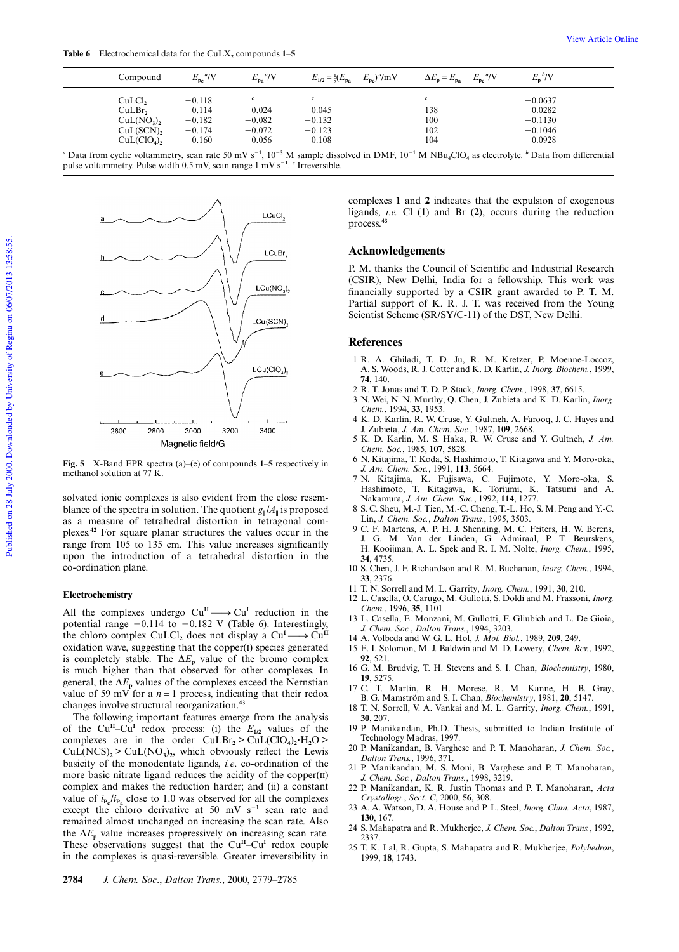| Compound                                                                    | $E_{\rm pc}$ <sup>a</sup> /V                             | $E_{\rm{pa}}^{\ \ a}/V$                   | $E_{1/2} = \frac{1}{2}(E_{pa} + E_{pc})^{\alpha}/mV$ | $\Delta E_{\rm p} = E_{\rm pa} - E_{\rm pc}^{\text{a}} / V$ | $E_p^{\ b}/V$                                                 |  |
|-----------------------------------------------------------------------------|----------------------------------------------------------|-------------------------------------------|------------------------------------------------------|-------------------------------------------------------------|---------------------------------------------------------------|--|
| $CuLCl$ ,<br>CuLBr,<br>$CuL(NO3)$ ,<br>CuL(SCN),<br>CuL(CIO <sub>4</sub> ), | $-0.118$<br>$-0.114$<br>$-0.182$<br>$-0.174$<br>$-0.160$ | 0.024<br>$-0.082$<br>$-0.072$<br>$-0.056$ | $-0.045$<br>$-0.132$<br>$-0.123$<br>$-0.108$         | $\mathfrak{c}$<br>138<br>100<br>102<br>104                  | $-0.0637$<br>$-0.0282$<br>$-0.1130$<br>$-0.1046$<br>$-0.0928$ |  |

*a* Data from cyclic voltammetry, scan rate 50 mV s<sup>-1</sup>, 10<sup>-3</sup> M sample dissolved in DMF, 10<sup>-1</sup> M NBu<sub>4</sub>ClO<sub>4</sub> as electrolyte. *b* Data from differential pulse voltammetry. Pulse width 0.5 mV, scan range 1 mV s<sup>-1</sup>. <sup>c</sup> Irreversible.



**Fig. 5** X-Band EPR spectra (a)–(e) of compounds **1**–**5** respectively in methanol solution at 77 K.

solvated ionic complexes is also evident from the close resemblance of the spectra in solution. The quotient  $g_{\parallel}/A_{\parallel}$  is proposed as a measure of tetrahedral distortion in tetragonal complexes.**<sup>42</sup>** For square planar structures the values occur in the range from 105 to 135 cm. This value increases significantly upon the introduction of a tetrahedral distortion in the co-ordination plane.

#### **Electrochemistry**

All the complexes undergo  $Cu^{II} \longrightarrow Cu^{I}$  reduction in the potential range  $-0.114$  to  $-0.182$  V (Table 6). Interestingly, the chloro complex CuLCl<sub>2</sub> does not display a  $Cu<sup>I</sup> \longrightarrow Cu<sup>II</sup>$ oxidation wave, suggesting that the copper(1) species generated is completely stable. The  $\Delta E_p$  value of the bromo complex is much higher than that observed for other complexes. In general, the  $\Delta E_p$  values of the complexes exceed the Nernstian value of 59 mV for a  $n = 1$  process, indicating that their redox changes involve structural reorganization.**<sup>43</sup>**

The following important features emerge from the analysis of the Cu<sup>II</sup>–Cu<sup>I</sup> redox process: (i) the  $E_{1/2}$  values of the complexes are in the order  $\text{CuLBr}_2 > \text{CuL}(\text{ClO}_4)_2 \cdot \text{H}_2\text{O} >$  $CuL(NCS)_{2}$  >  $CuL(NO_{3})_{2}$ , which obviously reflect the Lewis basicity of the monodentate ligands, *i.e*. co-ordination of the more basic nitrate ligand reduces the acidity of the copper(II) complex and makes the reduction harder; and (ii) a constant value of  $i_{\mathbf{P_c}}/i_{\mathbf{P_a}}$  close to 1.0 was observed for all the complexes except the chloro derivative at 50 mV  $s^{-1}$  scan rate and remained almost unchanged on increasing the scan rate. Also the  $\Delta E_p$  value increases progressively on increasing scan rate. These observations suggest that the Cu<sup>II</sup>–Cu<sup>I</sup> redox couple in the complexes is quasi-reversible. Greater irreversibility in

complexes **1** and **2** indicates that the expulsion of exogenous ligands, *i.e.* Cl (**1**) and Br (**2**), occurs during the reduction process.**<sup>43</sup>**

#### **Acknowledgements**

P. M. thanks the Council of Scientific and Industrial Research (CSIR), New Delhi, India for a fellowship. This work was financially supported by a CSIR grant awarded to P. T. M. Partial support of K. R. J. T. was received from the Young Scientist Scheme (SR/SY/C-11) of the DST, New Delhi.

#### **References**

- 1 R. A. Ghiladi, T. D. Ju, R. M. Kretzer, P. Moenne-Loccoz, A. S. Woods, R. J. Cotter and K. D. Karlin, *J. Inorg. Biochem.*, 1999, **74**, 140.
- 2 R. T. Jonas and T. D. P. Stack, *Inorg. Chem.*, 1998, **37**, 6615.
- 3 N. Wei, N. N. Murthy, Q. Chen, J. Zubieta and K. D. Karlin, *Inorg. Chem.*, 1994, **33**, 1953.
- 4 K. D. Karlin, R. W. Cruse, Y. Gultneh, A. Farooq, J. C. Hayes and J. Zubieta, *J. Am. Chem. Soc.*, 1987, **109**, 2668.
- 5 K. D. Karlin, M. S. Haka, R. W. Cruse and Y. Gultneh, *J. Am. Chem. Soc.*, 1985, **107**, 5828.
- 6 N. Kitajima, T. Koda, S. Hashimoto, T. Kitagawa and Y. Moro-oka, *J. Am. Chem. Soc.*, 1991, **113**, 5664.
- 7 N. Kitajima, K. Fujisawa, C. Fujimoto, Y. Moro-oka, S. Hashimoto, T. Kitagawa, K. Toriumi, K. Tatsumi and A. Nakamura, *J. Am. Chem. Soc.*, 1992, **114**, 1277.
- 8 S. C. Sheu, M.-J. Tien, M.-C. Cheng, T.-L. Ho, S. M. Peng and Y.-C. Lin, *J. Chem. Soc.*, *Dalton Trans.*, 1995, 3503.
- 9 C. F. Martens, A. P. H. J. Shenning, M. C. Feiters, H. W. Berens, J. G. M. Van der Linden, G. Admiraal, P. T. Beurskens, H. Kooijman, A. L. Spek and R. I. M. Nolte, *Inorg. Chem.*, 1995, **34**, 4735.
- 10 S. Chen, J. F. Richardson and R. M. Buchanan, *Inorg. Chem.*, 1994, **33**, 2376.
- 11 T. N. Sorrell and M. L. Garrity, *Inorg. Chem.*, 1991, **30**, 210.
- 12 L. Casella, O. Carugo, M. Gullotti, S. Doldi and M. Frassoni, *Inorg. Chem.*, 1996, **35**, 1101.
- 13 L. Casella, E. Monzani, M. Gullotti, F. Gliubich and L. De Gioia, *J. Chem. Soc.*, *Dalton Trans.*, 1994, 3203.
- 14 A. Volbeda and W. G. L. Hol, *J. Mol. Biol.*, 1989, **209**, 249.
- 15 E. I. Solomon, M. J. Baldwin and M. D. Lowery, *Chem. Rev.*, 1992, **92**, 521.
- 16 G. M. Brudvig, T. H. Stevens and S. I. Chan, *Biochemistry*, 1980, **19**, 5275.
- 17 C. T. Martin, R. H. Morese, R. M. Kanne, H. B. Gray, B. G. Mamström and S. I. Chan, *Biochemistry*, 1981, **20**, 5147.
- 18 T. N. Sorrell, V. A. Vankai and M. L. Garrity, *Inorg. Chem.*, 1991, **30**, 207.
- 19 P. Manikandan, Ph.D. Thesis, submitted to Indian Institute of Technology Madras, 1997.
- 20 P. Manikandan, B. Varghese and P. T. Manoharan, *J. Chem. Soc.*, *Dalton Trans.*, 1996, 371.
- 21 P. Manikandan, M. S. Moni, B. Varghese and P. T. Manoharan, *J. Chem. Soc.*, *Dalton Trans.*, 1998, 3219.
- 22 P. Manikandan, K. R. Justin Thomas and P. T. Manoharan, *Acta Crystallogr.*, *Sect. C*, 2000, **56**, 308.
- 23 A. A. Watson, D. A. House and P. L. Steel, *Inorg. Chim. Acta*, 1987, **130**, 167. 24 S. Mahapatra and R. Mukherjee, *J. Chem. Soc.*, *Dalton Trans.*, 1992,
- 2337.
- 25 T. K. Lal, R. Gupta, S. Mahapatra and R. Mukherjee, *Polyhedron*, 1999, **18**, 1743.